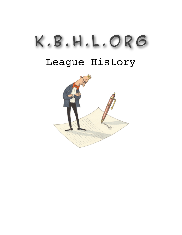## K . B . H . L . o r g

## League History

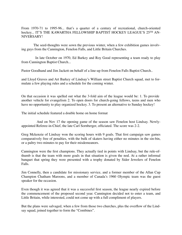From 1970-71 to 1995-96... that's a quarter of a century of recreational, church-oriented hockey... IT'S THE KAWARTHA FELLOWSHIP BAPTIST HOCKEY LEAGUE'S 25TH AN-NIVERSARY!

The seed-thoughts were sown the previous winter, when a few exhibition games involving guys from the Cannington, Fenelon Falls, and Little Britain Churches.

In late October on 1970, Ed Barkey and Roy Good representing a team ready to play from Cannington Baptist Church...

Pastor Goodhand and Jim Jackett on behalf of a line-up from Fenelon Falls Baptist Church..

and Lloyd Graves and Art Barkey of Lindsay's William street Baptist Church squad, met to formulate a few playing rules and a schedule for the coming winter.

On that occasion it was spelled out what the 3-fold aim of the league would be: 1. To provide another vehicle for evangelism 2. To open doors for church-going fellows, teens and men who have no opportunity to play organized hockey. 3. To present an alternative to Sunday hockey!

The initial schedule featured a double home on home format

And on Nov 17 the opening game of the season saw Fenelon host Lindsay. Newlyappointed Referee-in-Chief, the late Carl Sornberger, officiated. The score was 2-2.

Greg Mckenzie of Lindsay won the scoring hours with 9 goals. That first campaign saw games comparatively free of penalties, with the bulk of skaters having either no minutes in the sin-bin, or a paltry two minutes to pay for their misdemeanors.

Cannington were the first champions. They actually tied in points with Lindsay, but the rule-ofthumb is that the team with more goals in that situation is given the nod. At a rather informal banquet that spring they were presented with a trophy donated by Sider Jewelers of Fenelon Falls.

Jim Connelly, then a candidate for missionary service, and a former member of the Allan Cup Champion Chatham Maroons, and a member of Canada's 1960 Olympic team was the guest speaker for the occasion.

Even though it was agreed that it was a successful first season, the league nearly expired before the commencement of the proposed second year. Cannington decided not to enter a team, and Little Britain, while interested, could not come up with a full compliment of players.

But the plans were salvaged, when a few from those two churches, plus the overflow of the Lindsay squad, joined together to form the "Combines".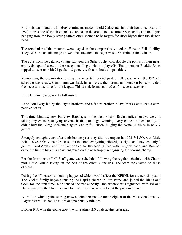Both this team, and the Lindsay contingent made the old Oakwood rink their home ice. Built in 1920, it was one of the first enclosed arenas in the area. The ice surface was small, and the lights hanging from the lowly-strung rafters often seemed to be targets for shots higher than the skaters heads.

The remainder of the matches were staged in the comparatively-modern Fenelon Falls facility. They DID find an advantage or two since the arena manager was the netminder that winter.

The guys from the cataract village captured the Sider trophy with double the points of their nearest rivals, again based on the season standings, with no play-offs. Team member Freddie Jones topped all scorers with 24 goals in 8 games, with no minutes in penalties.

Maintaining the organization during that uncertain period paid off. Because when the 1972-73 schedule was struck, Cannington was back in full force; their arena, and Fenelon Falls, provided the necessary ice time for the league. This 2-rink format carried on for several seasons.

Little Britain now boasted a full roster.

...and Port Perry led by the Payne brothers, and a future brother in law, Mark Scott, iced a competitive sextet!

This time Lindsay, now Fairview Baptist, sporting their Boston Bruin replica jerseys, weren't taking any chances of tying anyone in the standings, winning every contest rather handily. It didn't hurt that Greg McKenzie again was in full stride, bulging the twine 31 times in only 7 games.

Strangely enough, even after their banner year they didn't compete in 1973-74! SO, was Little Britain's year. Only their 2<sup>nd</sup> season in the loop, everything clicked just right, and they lost only 2 games. Gord Archer and Ron Gilson tied for the scoring lead with 14 goals each, and Ron became the first to have his name engraved on the new trophy recognizing the scoring champ.

For the first time an "All Star" game was scheduled following the regular schedule, with Champion Little Britain taking on the best of the other 3 line-ups. The team reps voted on those choices.

During the off-season something happened which would affect the KFBHL for the next 21 years! The Michel family began attending the Baptist church in Port Perry, and joined the Black and Gold for the first time. Rob tended the net expertly,...the defense was tightened with Ed and Harry guarding the blue line, and John and Bert knew how to put the puck in the net.

As well as winning the scoring crown, John became the first recipient of the Most Gentlemanly-Player Award. He had 17 tallies and no penalty minutes.

Brother Rob won the goalie trophy with a stingy 2.0 goals against average..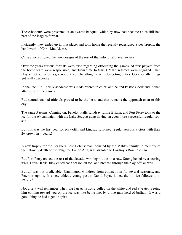These honours were presented at an awards banquet, which by now had become an established part of the leagues format.

Incidently, they ended up in first place, and took home the recently redesigned Sider Trophy, the handiwork of Chris MacAleese.

Chris also fashioned the new designs of the rest of the individual player awards!

Over the years various formats were tried regarding officiating the games. At first players from the home team were responsible, and from time to time OMHA referees were engaged. Then players not active on a given night were handling the whistle-tooting duties. Occasionally things got really desperate.

In the late 70's Chris MacAleese was made referee in chief, and he and Pastor Goodhand looked after most of the games.

But neutral, trained officials proved to be the best, and that remains the approach even to this day!

The same 5 teams, Cannington, Fenelon Falls, Lindsay, Little Britain, and Port Perry took to the ice for the 6<sup>th</sup> campaign with the Lake Scugog gang having an even more successful regular season.

But this was the first year for play-offs, and Lindsay surprised regular seasons victors with their 2nd crown in 4 years.!

A new trophy for the League's Best Defenseman, donated by the Mabley family, in memory of the untimely death of the daughter, Laurie Ann, was awarded to Lindsay's Ron Eastman.

But Port Perry owned the rest of the decade, winning 4 titles in a row. Strengthened by a scoring whiz, Dave Harris, they ended each season on top, and breezed through the play-offs as well.

But all was not predictable! Cannington withdrew from competition for several seasons... and Peterborough, with a new athletic young pastor, David Payne joined the on -ice fellowship in 1977-78.

Not a few will remember when big Ian Armstrong pulled on the white and red sweater. Seeing him coming toward you on the ice was like being met by a one-man herd of buffalo. It was a good thing he had a gentle spirit.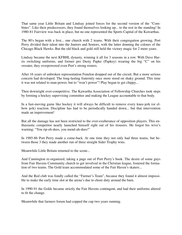That same year Little Britain and Lindsay joined forces for the second version of the "Combines". Like their predecessors, they found themselves looking up... to the rest in the standing! In 1980-81 Fairview was back in place, but no one represented the Sports Capital of the Kawarthas.

The 80's began with a first... one church with 2 teams. With their congregation growing, Port Perry divided their talent into the Juniors and Seniors, with the latter donning the colours of the Chicago Black Hawks. But the old black and gold still held the victory magic for 2 more years.

Lindsay became the next KFBHL dynasty, winning it all for 3 seasons in a row. With Dave Harris switching uniforms, and former pro Dusty Papke (Papkey) wearing the big "C" on his sweater, they overpowered even Port's strong rosters.

After 16 years of unbroken representation Fenelon dropped out of the circuit. But a more serious concern had developed. The long-lasting fraternity once more stood on shaky ground. This time it was not related to man-power, but to "won't power"! Play began to get chippy...

Then downright over-competitive. The Kawartha Association of Fellowship Churches took steps by forming a hockey supervising committee and making the League accountable to that body.

In a fast-moving game like hockey it will always be difficult to remove every knee-jerk (or elbow jerk) reaction. Discipline has had to be periodically handed down... but that intervention made an improvement!

But all the damage has not been restricted to the over-exuberance of opposition players. This enthusiastic competitor nearly launched himself right out of his trousers. He forgot his wive's warning: "You rip-eh-dees, you mend-ah-dees!"

In 1985-86 Port Perry made a come-back. At one time they not only had three teams, but between those 3 they made another run of three straight Sider Trophy wins.

Meanwhile Little Britain returned to the scene...

And Cannington re-organized, taking a page out of Port Perry's book. The desire of some guys from Fair Havens Community church to get involved in the Christian league, fostered the formation of two teams. The Gold team accommodated some of the Fair Haven's skaters...

And the Red club was fondly called the "Farmer's Team", because they found it almost impossible to make the early time slot at the arena's due to chore duty around the barn.

In 1990-91 the Golds became strictly the Fair Havens contingent, and had their uniforms altered to fit the change.

Meanwhile that farmers forum had copped the cup two years running.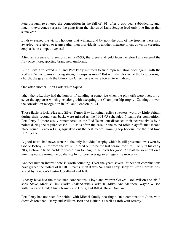Peterborough re-entered the competition in the fall of '91, after a two year sabbatical,... and, much to everyones surprise the gang from the shores of Lake Scugog iced only one lineup that same year.

Lindsay earned the victors honours that winter... and by now the bulk of the trophies were also awarded were given to teams rather then individuals,... another measure to cut down on creeping emphasis on competitiveness!

After an absence of 8 seasons, in 1992-93, the green and gold from Fenelon Falls entered the fray once more, sporting brand new uniforms.

Little Britain followed suit, and Port Perry returned to twin representation once again, with the Red and White teams entering strong line-ups as usual! But with the closure of the Peterborough church, the guys with the Edmonton Oilers jerseys were forced to withdraw.

One after another... first Ports white Squad...

..then the red... they had the honour of standing at center ice when the play-offs were over, to receive the applause which goes along with accepting the Championship trophy! Cannington won the consolation recognition in '93, and Fenelon in '94.

Those flashy Black, Blue and Silver Tampa Bay lightning replica sweaters, worn by Little Britain during their second year back, were missed as the 1994-95 scheduled 6 teams for competition. Port Perry 2 (more easily remembered as the Red Team) out-distanced their nearest rivals by 6 points during the regular season. But as is often the case, in the round robin playoffs that second place squad, Fenelon Falls, squeaked out the best record, winning top honours for the first time in 23 years.

A good-news, bad news scenario, the only individual trophy which is still presented, was won by Goalie Bobby Elliot from the Falls. I turned out to be the last season for him,... only in his early 30's, a chronic heart problem forced him to hang up his pads for good. At least he went out on a winning note, earning the goalie trophy for best average over regular season play.

Another human interest note is worth sounding. Over the years several father-son combinations have graced the rosters of KFBHL teams. First it was Neil and Larry Berry of Little Britains, followed by Fenelon's Pastor Goodhand and Jeff.

Lindsay have had the most such connections: Lloyd and Warren Graves, Don Wilson and his 3 sons: Steve, Mark & Tim: Clarke Zealand with Clarke Jr., Mike, And Matthew, Wayne Wilson with Kirk and Brad; Chuck Rainey and Chris; and Bill & Brian Donnan.

Port Perry has not been far behind with Michel family boasting 4 such combination: John, with Steve & Jonathan; Harry and William, Bert and Nathan, as well as Rob with Jeremy.